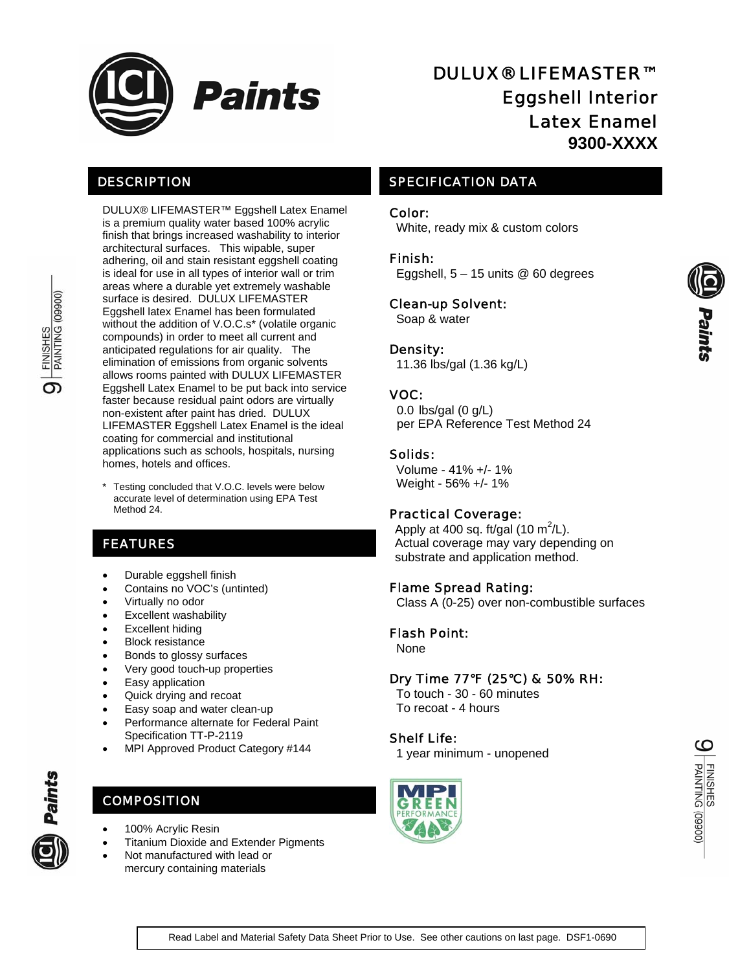

## DESCRIPTION

DULUX® LIFEMASTER™ Eggshell Latex Enamel is a premium quality water based 100% acrylic finish that brings increased washability to interior architectural surfaces. This wipable, super adhering, oil and stain resistant eggshell coating is ideal for use in all types of interior wall or trim areas where a durable yet extremely washable surface is desired. DULUX LIFEMASTER Eggshell latex Enamel has been formulated without the addition of V.O.C.s\* (volatile organic compounds) in order to meet all current and anticipated regulations for air quality. The elimination of emissions from organic solvents allows rooms painted with DULUX LIFEMASTER Eggshell Latex Enamel to be put back into service faster because residual paint odors are virtually non-existent after paint has dried. DULUX LIFEMASTER Eggshell Latex Enamel is the ideal coating for commercial and institutional applications such as schools, hospitals, nursing homes, hotels and offices.

\* Testing concluded that V.O.C. levels were below accurate level of determination using EPA Test Method 24.

## FEATURES

- Durable eggshell finish
- Contains no VOC's (untinted)
- Virtually no odor
- Excellent washability
- **Excellent hiding**
- **Block resistance**
- Bonds to glossy surfaces
- Very good touch-up properties
- Easy application
- Quick drying and recoat
- Easy soap and water clean-up • Performance alternate for Federal Paint Specification TT-P-2119
- MPI Approved Product Category #144

## **COMPOSITION**

- 100% Acrylic Resin
- Titanium Dioxide and Extender Pigments
- Not manufactured with lead or mercury containing materials

# DULUX® LIFEMASTER™ Eggshell Interior Latex Enamel **9300-XXXX**

## SPECIFICATION DATA

#### Color:

White, ready mix & custom colors

#### Finish:

Eggshell,  $5 - 15$  units @ 60 degrees

#### Clean-up Solvent:

Soap & water

#### Density:

11.36 lbs/gal (1.36 kg/L)

### VOC:

0.0 lbs/gal (0 g/L) per EPA Reference Test Method 24

#### Solids:

 Volume - 41% +/- 1% Weight - 56% +/- 1%

#### Practical Coverage:

Apply at 400 sq. ft/gal (10 m<sup>2</sup>/L). Actual coverage may vary depending on substrate and application method.

#### Flame Spread Rating:

Class A (0-25) over non-combustible surfaces

#### Flash Point:

None

#### Dry Time 77°F (25°C) & 50% RH**:**

 To touch - 30 - 60 minutes To recoat - 4 hours

#### Shelf Life:

1 year minimum - unopened